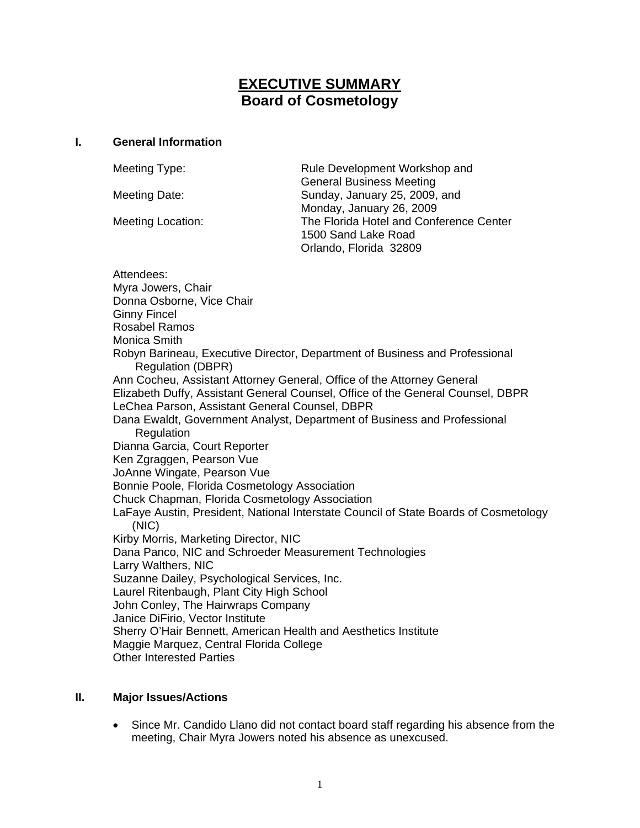# **EXECUTIVE SUMMARY Board of Cosmetology**

#### **I. General Information**

Meeting Type: Rule Development Workshop and General Business Meeting Meeting Date: Sunday, January 25, 2009, and Monday, January 26, 2009 Meeting Location: The Florida Hotel and Conference Center 1500 Sand Lake Road Orlando, Florida 32809

Attendees: Myra Jowers, Chair Donna Osborne, Vice Chair Ginny Fincel Rosabel Ramos Monica Smith Robyn Barineau, Executive Director, Department of Business and Professional Regulation (DBPR) Ann Cocheu, Assistant Attorney General, Office of the Attorney General Elizabeth Duffy, Assistant General Counsel, Office of the General Counsel, DBPR LeChea Parson, Assistant General Counsel, DBPR Dana Ewaldt, Government Analyst, Department of Business and Professional **Regulation** Dianna Garcia, Court Reporter Ken Zgraggen, Pearson Vue JoAnne Wingate, Pearson Vue Bonnie Poole, Florida Cosmetology Association Chuck Chapman, Florida Cosmetology Association LaFaye Austin, President, National Interstate Council of State Boards of Cosmetology (NIC) Kirby Morris, Marketing Director, NIC Dana Panco, NIC and Schroeder Measurement Technologies Larry Walthers, NIC Suzanne Dailey, Psychological Services, Inc. Laurel Ritenbaugh, Plant City High School John Conley, The Hairwraps Company Janice DiFirio, Vector Institute Sherry O'Hair Bennett, American Health and Aesthetics Institute Maggie Marquez, Central Florida College Other Interested Parties

### **II. Major Issues/Actions**

• Since Mr. Candido Llano did not contact board staff regarding his absence from the meeting, Chair Myra Jowers noted his absence as unexcused.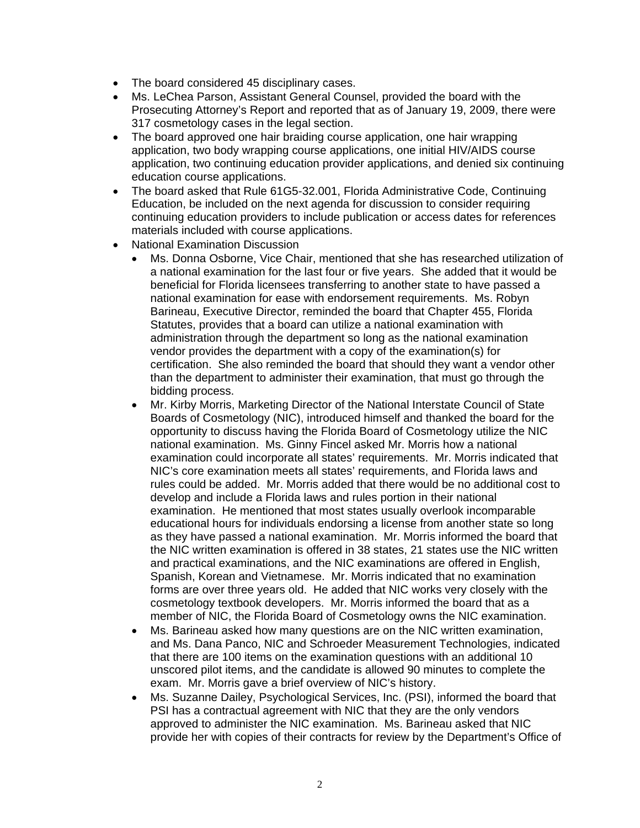- The board considered 45 disciplinary cases.
- Ms. LeChea Parson, Assistant General Counsel, provided the board with the Prosecuting Attorney's Report and reported that as of January 19, 2009, there were 317 cosmetology cases in the legal section.
- The board approved one hair braiding course application, one hair wrapping application, two body wrapping course applications, one initial HIV/AIDS course application, two continuing education provider applications, and denied six continuing education course applications.
- The board asked that Rule 61G5-32.001, Florida Administrative Code, Continuing Education, be included on the next agenda for discussion to consider requiring continuing education providers to include publication or access dates for references materials included with course applications.
- National Examination Discussion
	- Ms. Donna Osborne, Vice Chair, mentioned that she has researched utilization of a national examination for the last four or five years. She added that it would be beneficial for Florida licensees transferring to another state to have passed a national examination for ease with endorsement requirements. Ms. Robyn Barineau, Executive Director, reminded the board that Chapter 455, Florida Statutes, provides that a board can utilize a national examination with administration through the department so long as the national examination vendor provides the department with a copy of the examination(s) for certification. She also reminded the board that should they want a vendor other than the department to administer their examination, that must go through the bidding process.
	- Mr. Kirby Morris, Marketing Director of the National Interstate Council of State Boards of Cosmetology (NIC), introduced himself and thanked the board for the opportunity to discuss having the Florida Board of Cosmetology utilize the NIC national examination. Ms. Ginny Fincel asked Mr. Morris how a national examination could incorporate all states' requirements. Mr. Morris indicated that NIC's core examination meets all states' requirements, and Florida laws and rules could be added. Mr. Morris added that there would be no additional cost to develop and include a Florida laws and rules portion in their national examination. He mentioned that most states usually overlook incomparable educational hours for individuals endorsing a license from another state so long as they have passed a national examination. Mr. Morris informed the board that the NIC written examination is offered in 38 states, 21 states use the NIC written and practical examinations, and the NIC examinations are offered in English, Spanish, Korean and Vietnamese. Mr. Morris indicated that no examination forms are over three years old. He added that NIC works very closely with the cosmetology textbook developers. Mr. Morris informed the board that as a member of NIC, the Florida Board of Cosmetology owns the NIC examination.
	- Ms. Barineau asked how many questions are on the NIC written examination, and Ms. Dana Panco, NIC and Schroeder Measurement Technologies, indicated that there are 100 items on the examination questions with an additional 10 unscored pilot items, and the candidate is allowed 90 minutes to complete the exam. Mr. Morris gave a brief overview of NIC's history.
	- Ms. Suzanne Dailey, Psychological Services, Inc. (PSI), informed the board that PSI has a contractual agreement with NIC that they are the only vendors approved to administer the NIC examination. Ms. Barineau asked that NIC provide her with copies of their contracts for review by the Department's Office of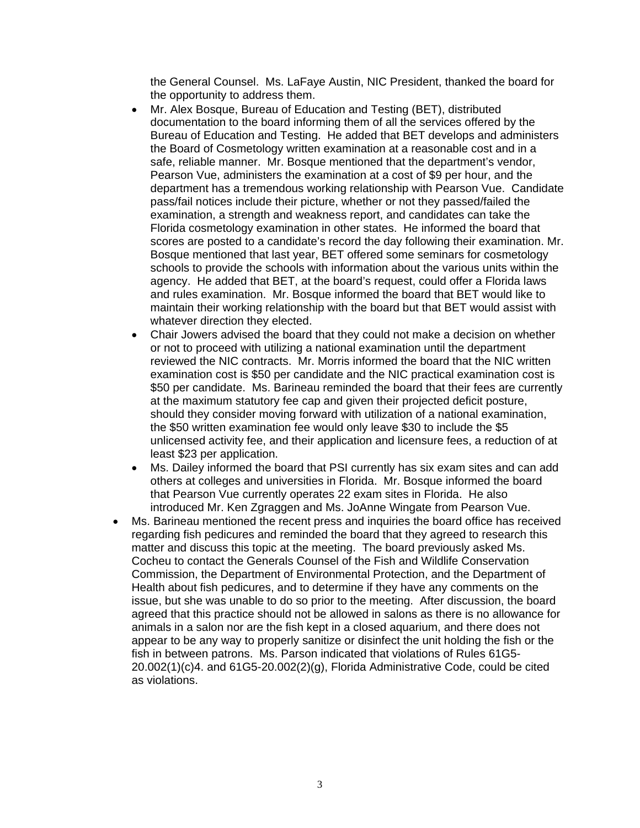the General Counsel. Ms. LaFaye Austin, NIC President, thanked the board for the opportunity to address them.

- Mr. Alex Bosque, Bureau of Education and Testing (BET), distributed documentation to the board informing them of all the services offered by the Bureau of Education and Testing. He added that BET develops and administers the Board of Cosmetology written examination at a reasonable cost and in a safe, reliable manner. Mr. Bosque mentioned that the department's vendor, Pearson Vue, administers the examination at a cost of \$9 per hour, and the department has a tremendous working relationship with Pearson Vue. Candidate pass/fail notices include their picture, whether or not they passed/failed the examination, a strength and weakness report, and candidates can take the Florida cosmetology examination in other states. He informed the board that scores are posted to a candidate's record the day following their examination. Mr. Bosque mentioned that last year, BET offered some seminars for cosmetology schools to provide the schools with information about the various units within the agency. He added that BET, at the board's request, could offer a Florida laws and rules examination. Mr. Bosque informed the board that BET would like to maintain their working relationship with the board but that BET would assist with whatever direction they elected.
- Chair Jowers advised the board that they could not make a decision on whether or not to proceed with utilizing a national examination until the department reviewed the NIC contracts. Mr. Morris informed the board that the NIC written examination cost is \$50 per candidate and the NIC practical examination cost is \$50 per candidate. Ms. Barineau reminded the board that their fees are currently at the maximum statutory fee cap and given their projected deficit posture, should they consider moving forward with utilization of a national examination, the \$50 written examination fee would only leave \$30 to include the \$5 unlicensed activity fee, and their application and licensure fees, a reduction of at least \$23 per application.
- Ms. Dailey informed the board that PSI currently has six exam sites and can add others at colleges and universities in Florida. Mr. Bosque informed the board that Pearson Vue currently operates 22 exam sites in Florida. He also introduced Mr. Ken Zgraggen and Ms. JoAnne Wingate from Pearson Vue.
- Ms. Barineau mentioned the recent press and inquiries the board office has received regarding fish pedicures and reminded the board that they agreed to research this matter and discuss this topic at the meeting. The board previously asked Ms. Cocheu to contact the Generals Counsel of the Fish and Wildlife Conservation Commission, the Department of Environmental Protection, and the Department of Health about fish pedicures, and to determine if they have any comments on the issue, but she was unable to do so prior to the meeting. After discussion, the board agreed that this practice should not be allowed in salons as there is no allowance for animals in a salon nor are the fish kept in a closed aquarium, and there does not appear to be any way to properly sanitize or disinfect the unit holding the fish or the fish in between patrons. Ms. Parson indicated that violations of Rules 61G5- 20.002(1)(c)4. and 61G5-20.002(2)(g), Florida Administrative Code, could be cited as violations.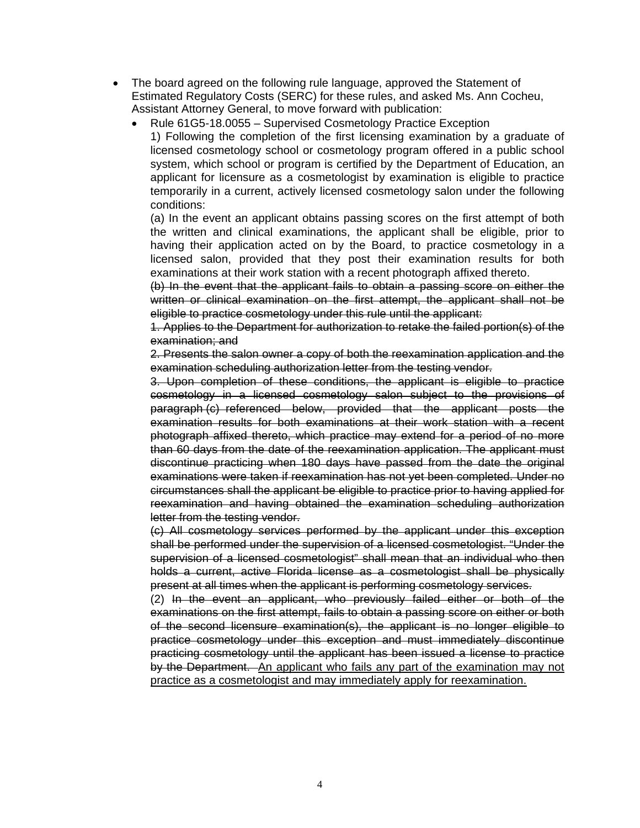- The board agreed on the following rule language, approved the Statement of Estimated Regulatory Costs (SERC) for these rules, and asked Ms. Ann Cocheu, Assistant Attorney General, to move forward with publication:
	- Rule 61G5-18.0055 Supervised Cosmetology Practice Exception 1) Following the completion of the first licensing examination by a graduate of licensed cosmetology school or cosmetology program offered in a public school system, which school or program is certified by the Department of Education, an applicant for licensure as a cosmetologist by examination is eligible to practice temporarily in a current, actively licensed cosmetology salon under the following conditions:

(a) In the event an applicant obtains passing scores on the first attempt of both the written and clinical examinations, the applicant shall be eligible, prior to having their application acted on by the Board, to practice cosmetology in a licensed salon, provided that they post their examination results for both examinations at their work station with a recent photograph affixed thereto.

(b) In the event that the applicant fails to obtain a passing score on either the written or clinical examination on the first attempt, the applicant shall not be eligible to practice cosmetology under this rule until the applicant:

1. Applies to the Department for authorization to retake the failed portion(s) of the examination; and

2. Presents the salon owner a copy of both the reexamination application and the examination scheduling authorization letter from the testing vendor.

3. Upon completion of these conditions, the applicant is eligible to practice cosmetology in a licensed cosmetology salon subject to the provisions of paragraph (c) referenced below, provided that the applicant posts the examination results for both examinations at their work station with a recent photograph affixed thereto, which practice may extend for a period of no more than 60 days from the date of the reexamination application. The applicant must discontinue practicing when 180 days have passed from the date the original examinations were taken if reexamination has not yet been completed. Under no circumstances shall the applicant be eligible to practice prior to having applied for reexamination and having obtained the examination scheduling authorization letter from the testing vendor.

(c) All cosmetology services performed by the applicant under this exception shall be performed under the supervision of a licensed cosmetologist. "Under the supervision of a licensed cosmetologist" shall mean that an individual who then holds a current, active Florida license as a cosmetologist shall be physically present at all times when the applicant is performing cosmetology services.

(2) In the event an applicant, who previously failed either or both of the examinations on the first attempt, fails to obtain a passing score on either or both of the second licensure examination(s), the applicant is no longer eligible to practice cosmetology under this exception and must immediately discontinue practicing cosmetology until the applicant has been issued a license to practice by the Department. An applicant who fails any part of the examination may not practice as a cosmetologist and may immediately apply for reexamination.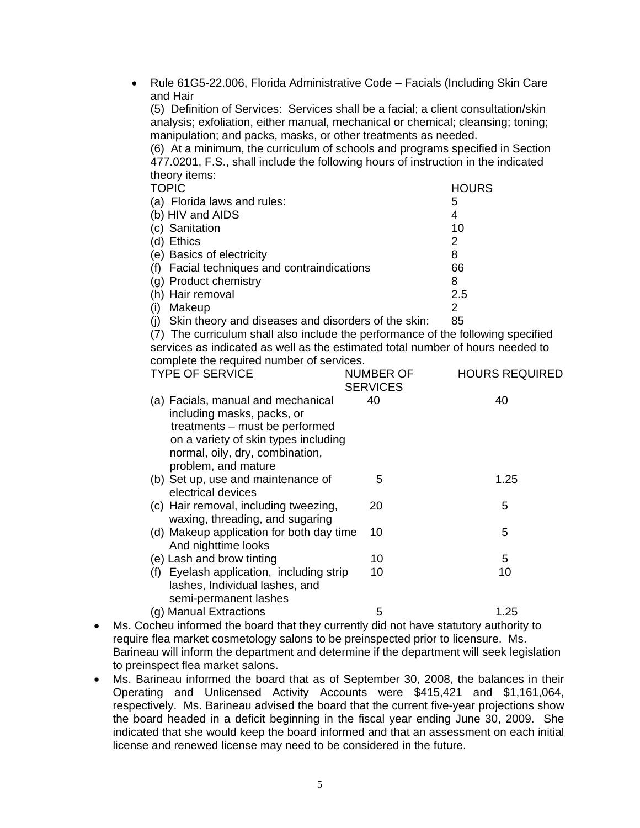• Rule 61G5-22.006, Florida Administrative Code – Facials (Including Skin Care and Hair

(5) Definition of Services: Services shall be a facial; a client consultation/skin analysis; exfoliation, either manual, mechanical or chemical; cleansing; toning; manipulation; and packs, masks, or other treatments as needed.

(6) At a minimum, the curriculum of schools and programs specified in Section 477.0201, F.S., shall include the following hours of instruction in the indicated theory items:

| <b>TOPIC</b>                                            | <b>HOURS</b> |
|---------------------------------------------------------|--------------|
| (a) Florida laws and rules:                             | 5            |
| (b) HIV and AIDS                                        | 4            |
| (c) Sanitation                                          | 10           |
| (d) Ethics                                              | 2            |
| (e) Basics of electricity                               | 8            |
| (f) Facial techniques and contraindications             | 66           |
| (g) Product chemistry                                   | 8            |
| (h) Hair removal                                        | 2.5          |
| Makeup<br>(i)                                           | 2            |
| (j) Skin theory and diseases and disorders of the skin: | 85           |

(7) The curriculum shall also include the performance of the following specified services as indicated as well as the estimated total number of hours needed to complete the required number of services.

| <b>TYPE OF SERVICE</b>                                                                                                                                                                               | <b>NUMBER OF</b><br><b>SERVICES</b> | <b>HOURS REQUIRED</b> |
|------------------------------------------------------------------------------------------------------------------------------------------------------------------------------------------------------|-------------------------------------|-----------------------|
| (a) Facials, manual and mechanical<br>including masks, packs, or<br>treatments – must be performed<br>on a variety of skin types including<br>normal, oily, dry, combination,<br>problem, and mature | 40                                  | 40                    |
| (b) Set up, use and maintenance of<br>electrical devices                                                                                                                                             | 5                                   | 1.25                  |
| (c) Hair removal, including tweezing,<br>waxing, threading, and sugaring                                                                                                                             | 20                                  | 5                     |
| (d) Makeup application for both day time<br>And nighttime looks                                                                                                                                      | 10                                  | 5                     |
| (e) Lash and brow tinting                                                                                                                                                                            | 10                                  | 5                     |
| (f) Eyelash application, including strip<br>lashes, Individual lashes, and<br>semi-permanent lashes                                                                                                  | 10                                  | 10                    |
| (g) Manual Extractions                                                                                                                                                                               | 5                                   | 1.25                  |
|                                                                                                                                                                                                      |                                     |                       |

- Ms. Cocheu informed the board that they currently did not have statutory authority to require flea market cosmetology salons to be preinspected prior to licensure. Ms. Barineau will inform the department and determine if the department will seek legislation to preinspect flea market salons.
- Ms. Barineau informed the board that as of September 30, 2008, the balances in their Operating and Unlicensed Activity Accounts were \$415,421 and \$1,161,064, respectively. Ms. Barineau advised the board that the current five-year projections show the board headed in a deficit beginning in the fiscal year ending June 30, 2009. She indicated that she would keep the board informed and that an assessment on each initial license and renewed license may need to be considered in the future.